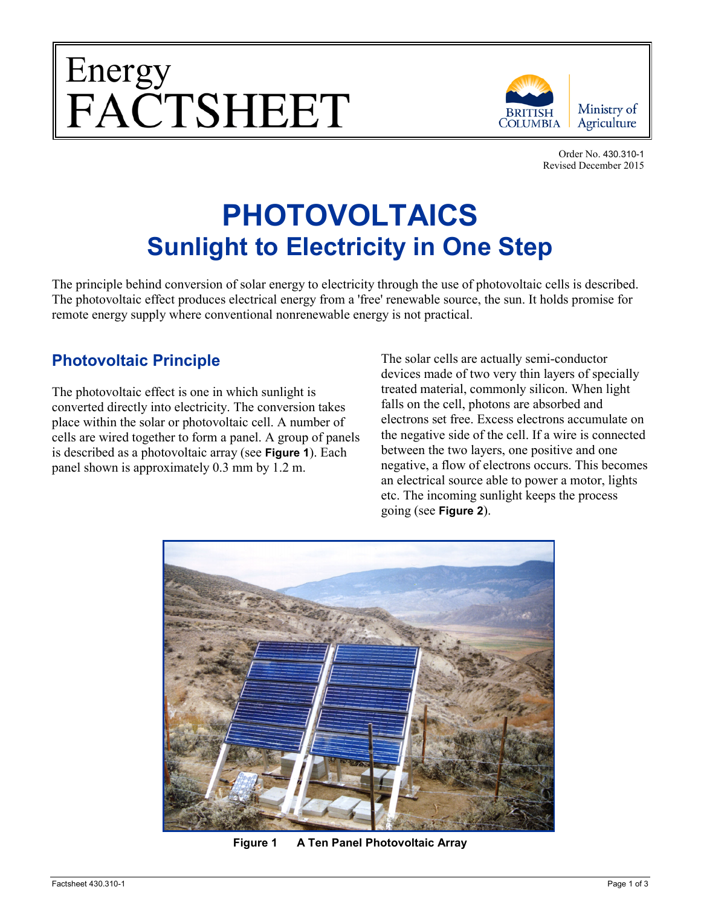



Order No. 430.310-1 Revised December 2015

# **PHOTOVOLTAICS Sunlight to Electricity in One Step**

The principle behind conversion of solar energy to electricity through the use of photovoltaic cells is described. The photovoltaic effect produces electrical energy from a 'free' renewable source, the sun. It holds promise for remote energy supply where conventional nonrenewable energy is not practical.

## **Photovoltaic Principle**

The photovoltaic effect is one in which sunlight is converted directly into electricity. The conversion takes place within the solar or photovoltaic cell. A number of cells are wired together to form a panel. A group of panels is described as a photovoltaic array (see **Figure 1**). Each panel shown is approximately 0.3 mm by 1.2 m.

The solar cells are actually semi-conductor devices made of two very thin layers of specially treated material, commonly silicon. When light falls on the cell, photons are absorbed and electrons set free. Excess electrons accumulate on the negative side of the cell. If a wire is connected between the two layers, one positive and one negative, a flow of electrons occurs. This becomes an electrical source able to power a motor, lights etc. The incoming sunlight keeps the process going (see **Figure 2**).



**Figure 1 A Ten Panel Photovoltaic Array**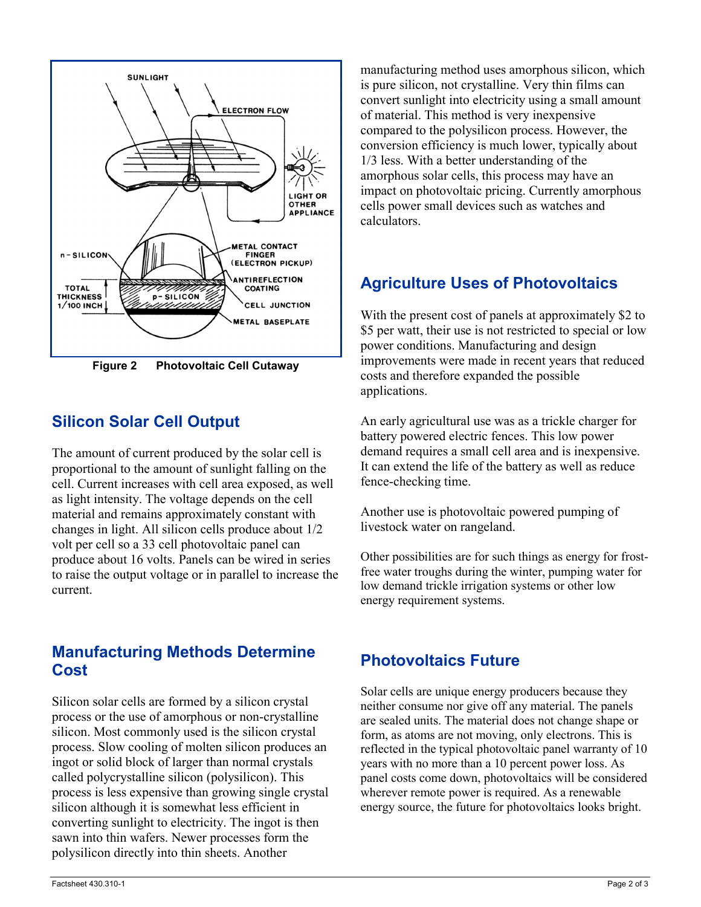

**Figure 2 Photovoltaic Cell Cutaway**

## **Silicon Solar Cell Output**

The amount of current produced by the solar cell is proportional to the amount of sunlight falling on the cell. Current increases with cell area exposed, as well as light intensity. The voltage depends on the cell material and remains approximately constant with changes in light. All silicon cells produce about 1/2 volt per cell so a 33 cell photovoltaic panel can produce about 16 volts. Panels can be wired in series to raise the output voltage or in parallel to increase the current.

#### **Manufacturing Methods Determine Cost**

Silicon solar cells are formed by a silicon crystal process or the use of amorphous or non-crystalline silicon. Most commonly used is the silicon crystal process. Slow cooling of molten silicon produces an ingot or solid block of larger than normal crystals called polycrystalline silicon (polysilicon). This process is less expensive than growing single crystal silicon although it is somewhat less efficient in converting sunlight to electricity. The ingot is then sawn into thin wafers. Newer processes form the polysilicon directly into thin sheets. Another

manufacturing method uses amorphous silicon, which is pure silicon, not crystalline. Very thin films can convert sunlight into electricity using a small amount of material. This method is very inexpensive compared to the polysilicon process. However, the conversion efficiency is much lower, typically about 1/3 less. With a better understanding of the amorphous solar cells, this process may have an impact on photovoltaic pricing. Currently amorphous cells power small devices such as watches and calculators.

# **Agriculture Uses of Photovoltaics**

With the present cost of panels at approximately \$2 to \$5 per watt, their use is not restricted to special or low power conditions. Manufacturing and design improvements were made in recent years that reduced costs and therefore expanded the possible applications.

An early agricultural use was as a trickle charger for battery powered electric fences. This low power demand requires a small cell area and is inexpensive. It can extend the life of the battery as well as reduce fence-checking time.

Another use is photovoltaic powered pumping of livestock water on rangeland.

Other possibilities are for such things as energy for frostfree water troughs during the winter, pumping water for low demand trickle irrigation systems or other low energy requirement systems.

## **Photovoltaics Future**

Solar cells are unique energy producers because they neither consume nor give off any material. The panels are sealed units. The material does not change shape or form, as atoms are not moving, only electrons. This is reflected in the typical photovoltaic panel warranty of 10 years with no more than a 10 percent power loss. As panel costs come down, photovoltaics will be considered wherever remote power is required. As a renewable energy source, the future for photovoltaics looks bright.